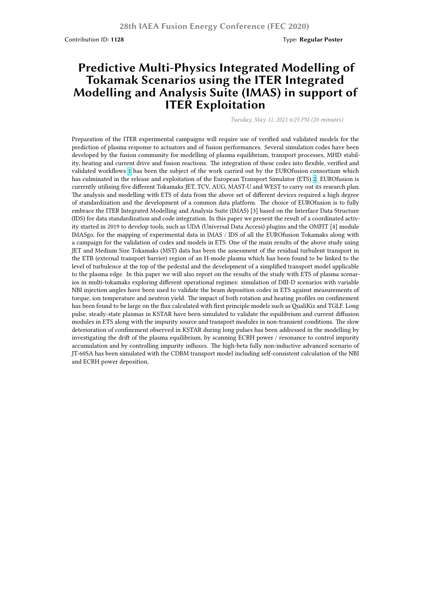## **Predictive Multi-Physics Integrated Modelling of Tokamak Scenarios using the ITER Integrated Modelling and Analysis Suite (IMAS) in support of ITER Exploitation**

*Tuesday, May 11, 2021 6:25 PM (20 minutes)*

Preparation of the ITER experimental campaigns will require use of verified and validated models for the prediction of plasma response to actuators and of fusion performances. Several simulation codes have been developed by the fusion community for modelling of plasma equilibrium, transport processes, MHD stability, heating and current drive and fusion reactions. The integration of these codes into flexible, verified and validated workflows 1 has been the subject of the work carried out by the EUROfusion consortium which has culminated in the release and exploitation of the European Transport Simulator (ETS) 2. EUROfusion is currently utilising five different Tokamaks JET, TCV, AUG, MAST-U and WEST to carry out its research plan. The analysis and modelling with ETS of data from the above set of different devices required a high degree of standardization and the development of a common data platform. The choice of EUROfusion is to fully embrace the ITER In[te](https://ccfe.ukaea.uk/wp-content/uploads/2020/03/MRomanelli_Fig1.jpg)grated Modelling and Analysis Suite (IMAS) [3] based on the Interface Data Structure (IDS) for data standardization and code integration. In this paper we present the result of a [co](https://ccfe.ukaea.uk/wp-content/uploads/2020/03/MRomanelli_Fig2.jpg)ordinated activity started in 2019 to develop tools, such as UDA (Universal Data Access) plugins and the OMFIT [4] module IMASgo, for the mapping of experimental data in IMAS / IDS of all the EUROfusion Tokamaks along with a campaign for the validation of codes and models in ETS. One of the main results of the above study using JET and Medium Size Tokamaks (MST) data has been the assessment of the residual turbulent transport in the ETB (external transport barrier) region of an H-mode plasma which has been found to be linked to the level of turbulence at the top of the pedestal and the development of a simplified transport model applicable to the plasma edge. In this paper we will also report on the results of the study with ETS of plasma scenarios in multi-tokamaks exploring different operational regimes: simulation of DIII-D scenarios with variable NBI injection angles have been used to validate the beam deposition codes in ETS against measurements of torque, ion temperature and neutron yield. The impact of both rotation and heating profiles on confinement has been found to be large on the flux calculated with first principle models such as QualiKiz and TGLF. Long pulse, steady-state plasmas in KSTAR have been simulated to validate the equilibrium and current diffusion modules in ETS along with the impurity source and transport modules in non-transient conditions. The slow deterioration of confinement observed in KSTAR during long pulses has been addressed in the modelling by investigating the drift of the plasma equilibrium, by scanning ECRH power / resonance to control impurity accumulation and by controlling impurity influxes. The high-beta fully non-inductive advanced scenario of JT-60SA has been simulated with the CDBM transport model including self-consistent calculation of the NBI and ECRH power deposition.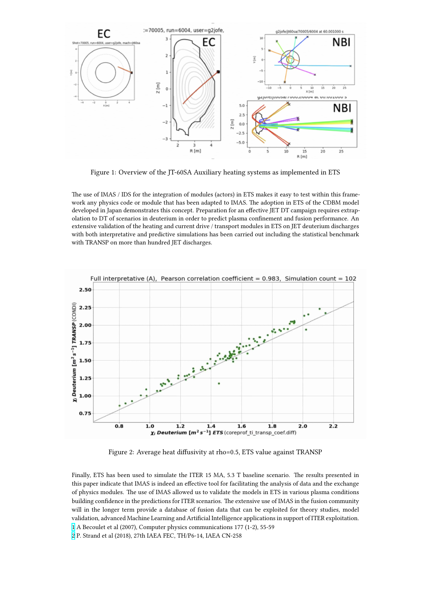

Figure 1: Overview of the JT-60SA Auxiliary heating systems as implemented in ETS

The use of IMAS / IDS for the integration of modules (actors) in ETS makes it easy to test within this framework any physics code or module that has been adapted to IMAS. The adoption in ETS of the CDBM model developed in Japan demonstrates this concept. Preparation for an effective JET DT campaign requires extrapolation to DT of scenarios in deuterium in order to predict plasma confinement and fusion performance. An extensive validation of the heating and current drive / transport modules in ETS on JET deuterium discharges with both interpretative and predictive simulations has been carried out including the statistical benchmark with TRANSP on more than hundred JET discharges.



Figure 2: Average heat diffusivity at rho=0.5, ETS value against TRANSP

Finally, ETS has been used to simulate the ITER 15 MA, 5.3 T baseline scenario. The results presented in this paper indicate that IMAS is indeed an effective tool for facilitating the analysis of data and the exchange of physics modules. The use of IMAS allowed us to validate the models in ETS in various plasma conditions building confidence in the predictions for ITER scenarios. The extensive use of IMAS in the fusion community will in the longer term provide a database of fusion data that can be exploited for theory studies, model validation, advanced Machine Learning and Artificial Intelligence applications in support of ITER exploitation. 1 A Becoulet et al (2007), Computer physics communications 177 (1-2), 55-59

2 P. Strand et al (2018), 27th IAEA FEC, TH/P6-14, IAEA CN-258